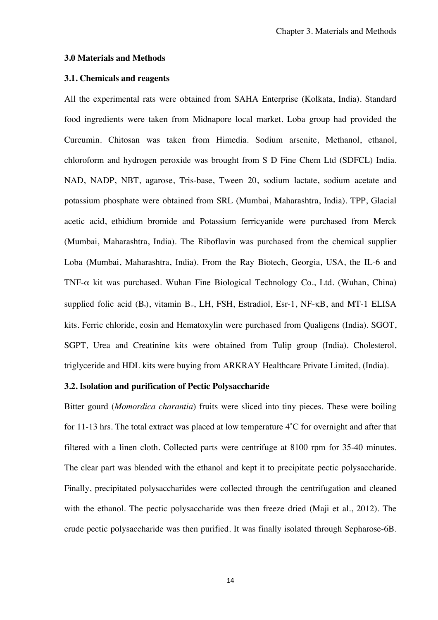#### **3.0 Materials and Methods**

#### **3.1. Chemicals and reagents**

All the experimental rats were obtained from SAHA Enterprise (Kolkata, India). Standard food ingredients were taken from Midnapore local market. Loba group had provided the Curcumin. Chitosan was taken from Himedia. Sodium arsenite, Methanol, ethanol, chloroform and hydrogen peroxide was brought from S D Fine Chem Ltd (SDFCL) India. NAD, NADP, NBT, agarose, Tris-base, Tween 20, sodium lactate, sodium acetate and potassium phosphate were obtained from SRL (Mumbai, Maharashtra, India). TPP, Glacial acetic acid, ethidium bromide and Potassium ferricyanide were purchased from Merck (Mumbai, Maharashtra, India). The Riboflavin was purchased from the chemical supplier Loba (Mumbai, Maharashtra, India). From the Ray Biotech, Georgia, USA, the IL-6 and TNF-α kit was purchased. Wuhan Fine Biological Technology Co., Ltd. (Wuhan, China) supplied folic acid  $(B_9)$ , vitamin  $B_{12}$ , LH, FSH, Estradiol, Esr-1, NF- $\kappa B$ , and MT-1 ELISA kits. Ferric chloride, eosin and Hematoxylin were purchased from Qualigens (India). SGOT, SGPT, Urea and Creatinine kits were obtained from Tulip group (India). Cholesterol, triglyceride and HDL kits were buying from ARKRAY Healthcare Private Limited, (India).

# **3.2. Isolation and purification of Pectic Polysaccharide**

Bitter gourd (*Momordica charantia*) fruits were sliced into tiny pieces. These were boiling for 11-13 hrs. The total extract was placed at low temperature 4˚C for overnight and after that filtered with a linen cloth. Collected parts were centrifuge at 8100 rpm for 35-40 minutes. The clear part was blended with the ethanol and kept it to precipitate pectic polysaccharide. Finally, precipitated polysaccharides were collected through the centrifugation and cleaned with the ethanol. The pectic polysaccharide was then freeze dried (Maji et al., 2012). The crude pectic polysaccharide was then purified. It was finally isolated through Sepharose-6B.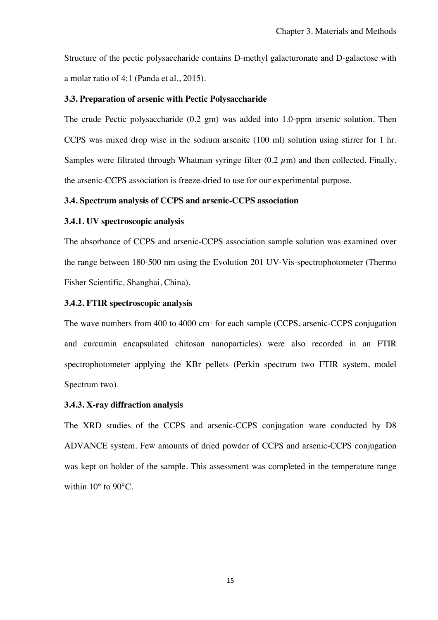Structure of the pectic polysaccharide contains D-methyl galacturonate and D-galactose with a molar ratio of 4:1 (Panda et al., 2015).

# **3.3. Preparation of arsenic with Pectic Polysaccharide**

The crude Pectic polysaccharide (0.2 gm) was added into 1.0-ppm arsenic solution. Then CCPS was mixed drop wise in the sodium arsenite (100 ml) solution using stirrer for 1 hr. Samples were filtrated through Whatman syringe filter  $(0.2 \mu m)$  and then collected. Finally, the arsenic-CCPS association is freeze-dried to use for our experimental purpose.

## **3.4. Spectrum analysis of CCPS and arsenic-CCPS association**

# **3.4.1. UV spectroscopic analysis**

The absorbance of CCPS and arsenic-CCPS association sample solution was examined over the range between 180-500 nm using the Evolution 201 UV-Vis-spectrophotometer (Thermo Fisher Scientific, Shanghai, China).

# **3.4.2. FTIR spectroscopic analysis**

The wave numbers from 400 to 4000 cm<sup>-1</sup> for each sample (CCPS, arsenic-CCPS conjugation and curcumin encapsulated chitosan nanoparticles) were also recorded in an FTIR spectrophotometer applying the KBr pellets (Perkin spectrum two FTIR system, model Spectrum two).

# **3.4.3. X-ray diffraction analysis**

The XRD studies of the CCPS and arsenic-CCPS conjugation ware conducted by D8 ADVANCE system. Few amounts of dried powder of CCPS and arsenic-CCPS conjugation was kept on holder of the sample. This assessment was completed in the temperature range within 10° to 90°C.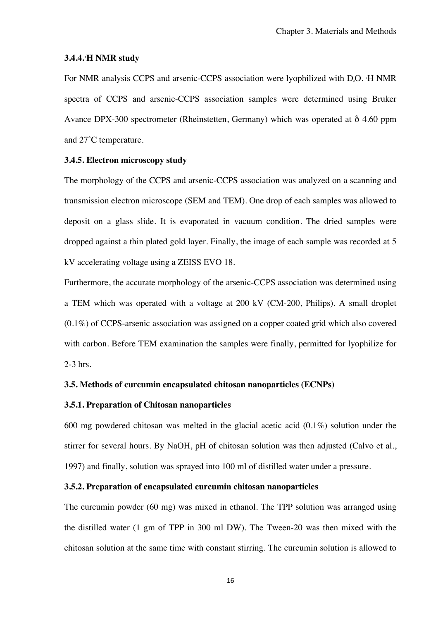## **3.4.4. <sup>1</sup> H NMR study**

For NMR analysis CCPS and arsenic-CCPS association were lyophilized with D<sub>2</sub>O. H NMR spectra of CCPS and arsenic-CCPS association samples were determined using Bruker Avance DPX-300 spectrometer (Rheinstetten, Germany) which was operated at δ 4.60 ppm and 27˚C temperature.

## **3.4.5. Electron microscopy study**

The morphology of the CCPS and arsenic-CCPS association was analyzed on a scanning and transmission electron microscope (SEM and TEM). One drop of each samples was allowed to deposit on a glass slide. It is evaporated in vacuum condition. The dried samples were dropped against a thin plated gold layer. Finally, the image of each sample was recorded at 5 kV accelerating voltage using a ZEISS EVO 18.

Furthermore, the accurate morphology of the arsenic-CCPS association was determined using a TEM which was operated with a voltage at 200 kV (CM-200, Philips). A small droplet (0.1%) of CCPS-arsenic association was assigned on a copper coated grid which also covered with carbon. Before TEM examination the samples were finally, permitted for lyophilize for 2-3 hrs.

## **3.5. Methods of curcumin encapsulated chitosan nanoparticles (ECNPs)**

## **3.5.1. Preparation of Chitosan nanoparticles**

600 mg powdered chitosan was melted in the glacial acetic acid (0.1%) solution under the stirrer for several hours. By NaOH, pH of chitosan solution was then adjusted (Calvo et al., 1997) and finally, solution was sprayed into 100 ml of distilled water under a pressure.

## **3.5.2. Preparation of encapsulated curcumin chitosan nanoparticles**

The curcumin powder (60 mg) was mixed in ethanol. The TPP solution was arranged using the distilled water (1 gm of TPP in 300 ml DW). The Tween-20 was then mixed with the chitosan solution at the same time with constant stirring. The curcumin solution is allowed to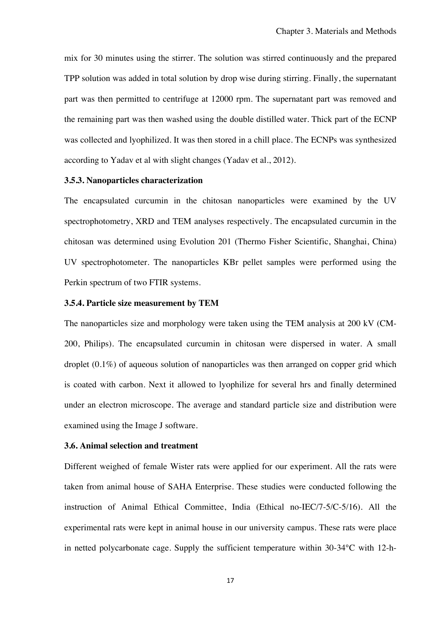mix for 30 minutes using the stirrer. The solution was stirred continuously and the prepared TPP solution was added in total solution by drop wise during stirring. Finally, the supernatant part was then permitted to centrifuge at 12000 rpm. The supernatant part was removed and the remaining part was then washed using the double distilled water. Thick part of the ECNP was collected and lyophilized. It was then stored in a chill place. The ECNPs was synthesized according to Yadav et al with slight changes (Yadav et al., 2012).

## **3.5.3. Nanoparticles characterization**

The encapsulated curcumin in the chitosan nanoparticles were examined by the UV spectrophotometry, XRD and TEM analyses respectively. The encapsulated curcumin in the chitosan was determined using Evolution 201 (Thermo Fisher Scientific, Shanghai, China) UV spectrophotometer. The nanoparticles KBr pellet samples were performed using the Perkin spectrum of two FTIR systems.

## **3.5.4. Particle size measurement by TEM**

The nanoparticles size and morphology were taken using the TEM analysis at 200 kV (CM-200, Philips). The encapsulated curcumin in chitosan were dispersed in water. A small droplet (0.1%) of aqueous solution of nanoparticles was then arranged on copper grid which is coated with carbon. Next it allowed to lyophilize for several hrs and finally determined under an electron microscope. The average and standard particle size and distribution were examined using the Image J software.

## **3.6. Animal selection and treatment**

Different weighed of female Wister rats were applied for our experiment. All the rats were taken from animal house of SAHA Enterprise. These studies were conducted following the instruction of Animal Ethical Committee, India (Ethical no-IEC/7-5/C-5/16). All the experimental rats were kept in animal house in our university campus. These rats were place in netted polycarbonate cage. Supply the sufficient temperature within 30-34°C with 12-h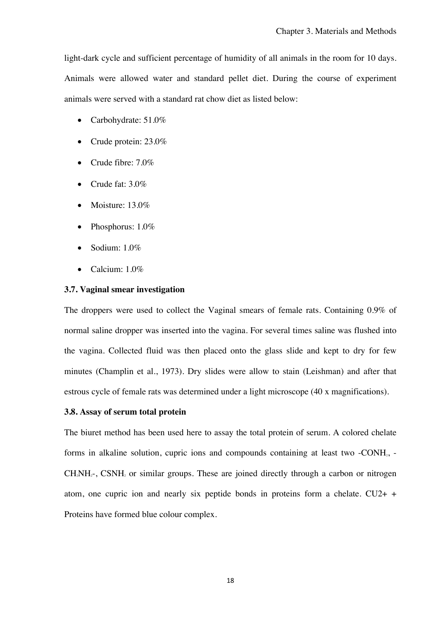light-dark cycle and sufficient percentage of humidity of all animals in the room for 10 days. Animals were allowed water and standard pellet diet. During the course of experiment animals were served with a standard rat chow diet as listed below:

- Carbohydrate: 51.0%
- Crude protein: 23.0%
- Crude fibre:  $7.0\%$
- Crude fat:  $3.0\%$
- Moisture: 13.0%
- Phosphorus:  $1.0\%$
- Sodium: 1.0%
- Calcium:  $1.0\%$

# **3.7. Vaginal smear investigation**

The droppers were used to collect the Vaginal smears of female rats. Containing 0.9% of normal saline dropper was inserted into the vagina. For several times saline was flushed into the vagina. Collected fluid was then placed onto the glass slide and kept to dry for few minutes (Champlin et al., 1973). Dry slides were allow to stain (Leishman) and after that estrous cycle of female rats was determined under a light microscope (40 x magnifications).

## **3.8. Assay of serum total protein**

The biuret method has been used here to assay the total protein of serum. A colored chelate forms in alkaline solution, cupric ions and compounds containing at least two -CONH<sub>2</sub>, - $CH<sub>2</sub>NH<sub>2</sub>$ , CSNH<sub>2</sub> or similar groups. These are joined directly through a carbon or nitrogen atom, one cupric ion and nearly six peptide bonds in proteins form a chelate.  $CU2+$ Proteins have formed blue colour complex.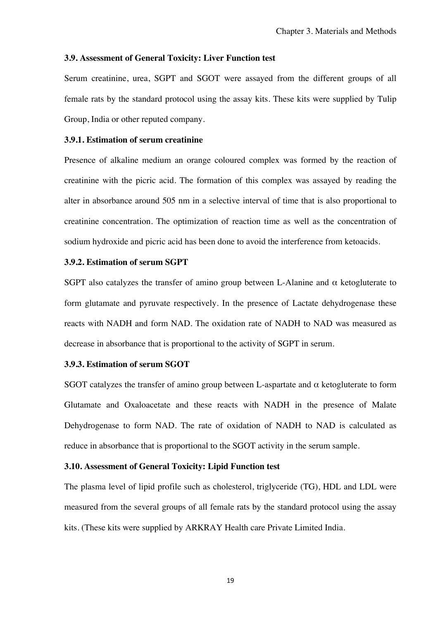## **3.9. Assessment of General Toxicity: Liver Function test**

Serum creatinine, urea, SGPT and SGOT were assayed from the different groups of all female rats by the standard protocol using the assay kits. These kits were supplied by Tulip Group, India or other reputed company.

### **3.9.1. Estimation of serum creatinine**

Presence of alkaline medium an orange coloured complex was formed by the reaction of creatinine with the picric acid. The formation of this complex was assayed by reading the alter in absorbance around 505 nm in a selective interval of time that is also proportional to creatinine concentration. The optimization of reaction time as well as the concentration of sodium hydroxide and picric acid has been done to avoid the interference from ketoacids.

## **3.9.2. Estimation of serum SGPT**

SGPT also catalyzes the transfer of amino group between L-Alanine and  $\alpha$  ketogluterate to form glutamate and pyruvate respectively. In the presence of Lactate dehydrogenase these reacts with NADH and form NAD. The oxidation rate of NADH to NAD was measured as decrease in absorbance that is proportional to the activity of SGPT in serum.

#### **3.9.3. Estimation of serum SGOT**

SGOT catalyzes the transfer of amino group between L-aspartate and  $\alpha$  ketogluterate to form Glutamate and Oxaloacetate and these reacts with NADH in the presence of Malate Dehydrogenase to form NAD. The rate of oxidation of NADH to NAD is calculated as reduce in absorbance that is proportional to the SGOT activity in the serum sample.

### **3.10. Assessment of General Toxicity: Lipid Function test**

The plasma level of lipid profile such as cholesterol, triglyceride (TG), HDL and LDL were measured from the several groups of all female rats by the standard protocol using the assay kits. (These kits were supplied by ARKRAY Health care Private Limited India.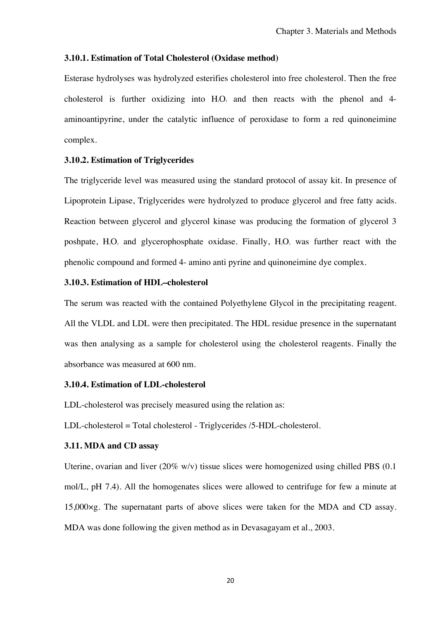## **3.10.1. Estimation of Total Cholesterol (Oxidase method)**

Esterase hydrolyses was hydrolyzed esterifies cholesterol into free cholesterol. Then the free cholesterol is further oxidizing into  $H_2O_2$  and then reacts with the phenol and 4aminoantipyrine, under the catalytic influence of peroxidase to form a red quinoneimine complex.

## **3.10.2. Estimation of Triglycerides**

The triglyceride level was measured using the standard protocol of assay kit. In presence of Lipoprotein Lipase, Triglycerides were hydrolyzed to produce glycerol and free fatty acids. Reaction between glycerol and glycerol kinase was producing the formation of glycerol 3 poshpate, H<sub>i</sub>O<sub>2</sub> and glycerophosphate oxidase. Finally, H<sub>i</sub>O<sub>2</sub> was further react with the phenolic compound and formed 4- amino anti pyrine and quinoneimine dye complex.

# **3.10.3. Estimation of HDL–cholesterol**

The serum was reacted with the contained Polyethylene Glycol in the precipitating reagent. All the VLDL and LDL were then precipitated. The HDL residue presence in the supernatant was then analysing as a sample for cholesterol using the cholesterol reagents. Finally the absorbance was measured at 600 nm.

## **3.10.4. Estimation of LDL-cholesterol**

LDL-cholesterol was precisely measured using the relation as:

LDL-cholesterol = Total cholesterol - Triglycerides /5-HDL-cholesterol.

## **3.11. MDA and CD assay**

Uterine, ovarian and liver (20% w/v) tissue slices were homogenized using chilled PBS (0.1 mol/L, pH 7.4). All the homogenates slices were allowed to centrifuge for few a minute at 15,000×g. The supernatant parts of above slices were taken for the MDA and CD assay. MDA was done following the given method as in Devasagayam et al., 2003.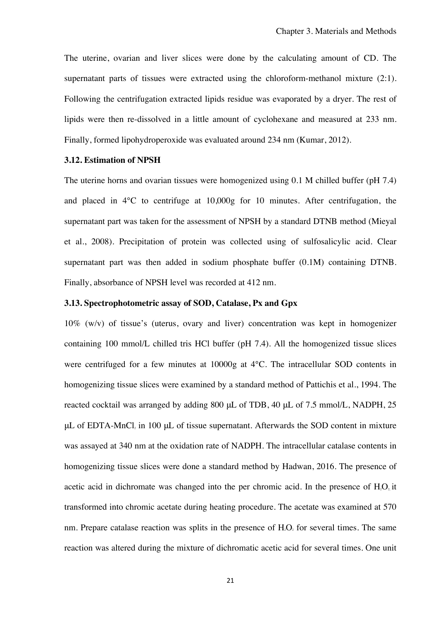The uterine, ovarian and liver slices were done by the calculating amount of CD. The supernatant parts of tissues were extracted using the chloroform-methanol mixture (2:1). Following the centrifugation extracted lipids residue was evaporated by a dryer. The rest of lipids were then re-dissolved in a little amount of cyclohexane and measured at 233 nm. Finally, formed lipohydroperoxide was evaluated around 234 nm (Kumar, 2012).

## **3.12. Estimation of NPSH**

The uterine horns and ovarian tissues were homogenized using 0.1 M chilled buffer (pH 7.4) and placed in 4°C to centrifuge at 10,000g for 10 minutes. After centrifugation, the supernatant part was taken for the assessment of NPSH by a standard DTNB method (Mieyal et al., 2008). Precipitation of protein was collected using of sulfosalicylic acid. Clear supernatant part was then added in sodium phosphate buffer (0.1M) containing DTNB. Finally, absorbance of NPSH level was recorded at 412 nm.

## **3.13. Spectrophotometric assay of SOD, Catalase, Px and Gpx**

10% (w/v) of tissue's (uterus, ovary and liver) concentration was kept in homogenizer containing 100 mmol/L chilled tris HCl buffer (pH 7.4). All the homogenized tissue slices were centrifuged for a few minutes at 10000g at 4°C. The intracellular SOD contents in homogenizing tissue slices were examined by a standard method of Pattichis et al., 1994. The reacted cocktail was arranged by adding 800 μL of TDB, 40 μL of 7.5 mmol/L, NADPH, 25 μL of EDTA-MnCl<sub>2</sub> in 100 μL of tissue supernatant. Afterwards the SOD content in mixture was assayed at 340 nm at the oxidation rate of NADPH. The intracellular catalase contents in homogenizing tissue slices were done a standard method by Hadwan, 2016. The presence of acetic acid in dichromate was changed into the per chromic acid. In the presence of  $H_2O_2$  it transformed into chromic acetate during heating procedure. The acetate was examined at 570 nm. Prepare catalase reaction was splits in the presence of H<sub>2</sub>O<sub>2</sub> for several times. The same reaction was altered during the mixture of dichromatic acetic acid for several times. One unit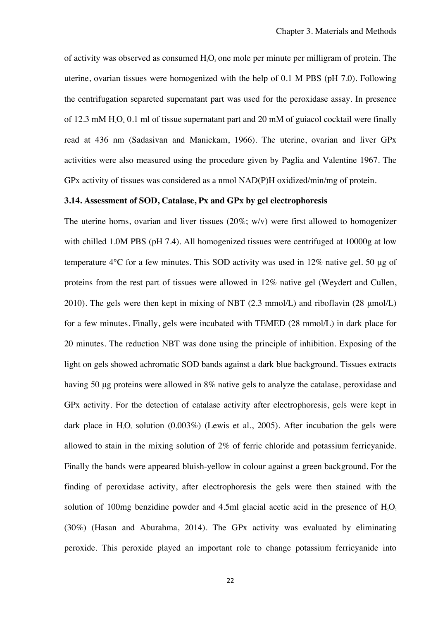of activity was observed as consumed  $H_2O_2$  one mole per minute per milligram of protein. The uterine, ovarian tissues were homogenized with the help of 0.1 M PBS (pH 7.0). Following the centrifugation separeted supernatant part was used for the peroxidase assay. In presence of 12.3 mM H<sub>2</sub>O<sub>2</sub>, 0.1 ml of tissue supernatant part and 20 mM of guiacol cocktail were finally read at 436 nm (Sadasivan and Manickam, 1966). The uterine, ovarian and liver GPx activities were also measured using the procedure given by Paglia and Valentine 1967. The GPx activity of tissues was considered as a nmol NAD(P)H oxidized/min/mg of protein.

## **3.14. Assessment of SOD, Catalase, Px and GPx by gel electrophoresis**

The uterine horns, ovarian and liver tissues (20%; w/v) were first allowed to homogenizer with chilled 1.0M PBS (pH 7.4). All homogenized tissues were centrifuged at 10000g at low temperature 4°C for a few minutes. This SOD activity was used in 12% native gel. 50 μg of proteins from the rest part of tissues were allowed in 12% native gel (Weydert and Cullen, 2010). The gels were then kept in mixing of NBT (2.3 mmol/L) and riboflavin (28 µmol/L) for a few minutes. Finally, gels were incubated with TEMED (28 mmol/L) in dark place for 20 minutes. The reduction NBT was done using the principle of inhibition. Exposing of the light on gels showed achromatic SOD bands against a dark blue background. Tissues extracts having 50 μg proteins were allowed in 8% native gels to analyze the catalase, peroxidase and GPx activity. For the detection of catalase activity after electrophoresis, gels were kept in dark place in  $H_2O_2$  solution (0.003%) (Lewis et al., 2005). After incubation the gels were allowed to stain in the mixing solution of 2% of ferric chloride and potassium ferricyanide. Finally the bands were appeared bluish-yellow in colour against a green background. For the finding of peroxidase activity, after electrophoresis the gels were then stained with the solution of 100mg benzidine powder and 4.5ml glacial acetic acid in the presence of  $H_2O_2$ (30%) (Hasan and Aburahma, 2014). The GPx activity was evaluated by eliminating peroxide. This peroxide played an important role to change potassium ferricyanide into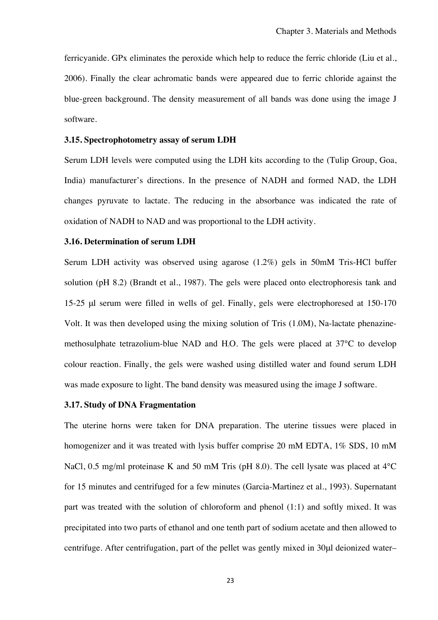ferricyanide. GPx eliminates the peroxide which help to reduce the ferric chloride (Liu et al., 2006). Finally the clear achromatic bands were appeared due to ferric chloride against the blue-green background. The density measurement of all bands was done using the image J software.

## **3.15. Spectrophotometry assay of serum LDH**

Serum LDH levels were computed using the LDH kits according to the (Tulip Group, Goa, India) manufacturer's directions. In the presence of NADH and formed NAD, the LDH changes pyruvate to lactate. The reducing in the absorbance was indicated the rate of oxidation of NADH to NAD and was proportional to the LDH activity.

## **3.16. Determination of serum LDH**

Serum LDH activity was observed using agarose (1.2%) gels in 50mM Tris-HCl buffer solution (pH 8.2) (Brandt et al., 1987). The gels were placed onto electrophoresis tank and 15-25 μl serum were filled in wells of gel. Finally, gels were electrophoresed at 150-170 Volt. It was then developed using the mixing solution of Tris (1.0M), Na-lactate phenazinemethosulphate tetrazolium-blue NAD and H<sub>2</sub>O. The gels were placed at  $37^{\circ}$ C to develop colour reaction. Finally, the gels were washed using distilled water and found serum LDH was made exposure to light. The band density was measured using the image J software.

#### **3.17. Study of DNA Fragmentation**

The uterine horns were taken for DNA preparation. The uterine tissues were placed in homogenizer and it was treated with lysis buffer comprise 20 mM EDTA, 1% SDS, 10 mM NaCl, 0.5 mg/ml proteinase K and 50 mM Tris (pH 8.0). The cell lysate was placed at 4°C for 15 minutes and centrifuged for a few minutes (Garcia-Martinez et al., 1993). Supernatant part was treated with the solution of chloroform and phenol (1:1) and softly mixed. It was precipitated into two parts of ethanol and one tenth part of sodium acetate and then allowed to centrifuge. After centrifugation, part of the pellet was gently mixed in 30μl deionized water–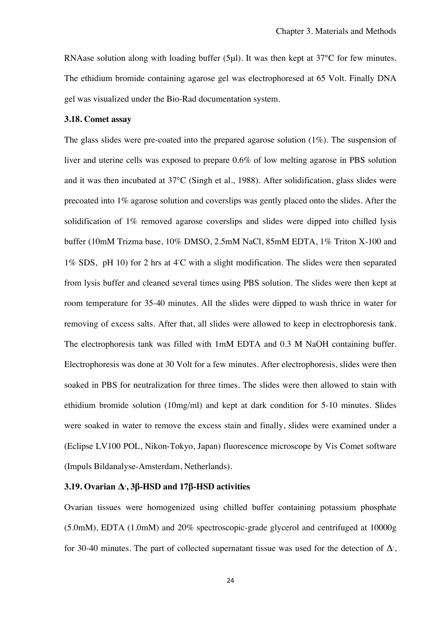RNAase solution along with loading buffer (5µl). It was then kept at 37<sup>o</sup>C for few minutes. The ethidium bromide containing agarose gel was electrophoresed at 65 Volt. Finally DNA gel was visualized under the Bio-Rad documentation system.

## **3.18. Comet assay**

The glass slides were pre-coated into the prepared agarose solution (1%). The suspension of liver and uterine cells was exposed to prepare 0.6% of low melting agarose in PBS solution and it was then incubated at 37°C (Singh et al., 1988). After solidification, glass slides were precoated into 1% agarose solution and coverslips was gently placed onto the slides. After the solidification of 1% removed agarose coverslips and slides were dipped into chilled lysis buffer (10mM Trizma base, 10% DMSO, 2.5mM NaCl, 85mM EDTA, 1% Triton X-100 and 1% SDS, pH 10) for 2 hrs at 4◦ C with a slight modification. The slides were then separated from lysis buffer and cleaned several times using PBS solution. The slides were then kept at room temperature for 35-40 minutes. All the slides were dipped to wash thrice in water for removing of excess salts. After that, all slides were allowed to keep in electrophoresis tank. The electrophoresis tank was filled with 1mM EDTA and 0.3 M NaOH containing buffer. Electrophoresis was done at 30 Volt for a few minutes. After electrophoresis, slides were then soaked in PBS for neutralization for three times. The slides were then allowed to stain with ethidium bromide solution (10mg/ml) and kept at dark condition for 5-10 minutes. Slides were soaked in water to remove the excess stain and finally, slides were examined under a (Eclipse LV100 POL, Nikon-Tokyo, Japan) fluorescence microscope by Vis Comet software (Impuls Bildanalyse-Amsterdam, Netherlands).

#### **3.19. Ovarian Δ<sup>5</sup> , 3β-HSD and 17β-HSD activities**

Ovarian tissues were homogenized using chilled buffer containing potassium phosphate (5.0mM), EDTA (1.0mM) and 20% spectroscopic-grade glycerol and centrifuged at 10000g for 30-40 minutes. The part of collected supernatant tissue was used for the detection of  $\Delta$ <sup>5</sup>,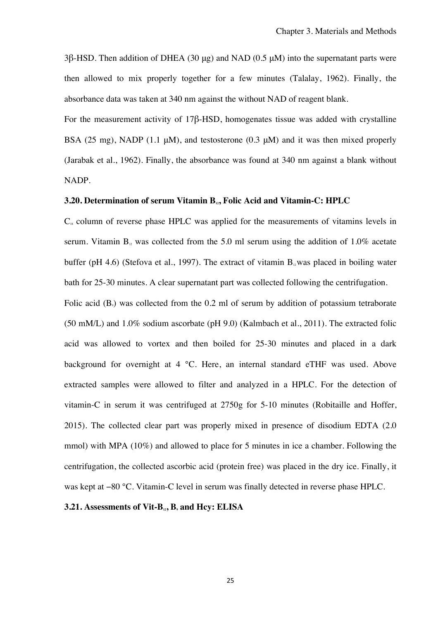3β-HSD. Then addition of DHEA (30 μg) and NAD (0.5 μM) into the supernatant parts were then allowed to mix properly together for a few minutes (Talalay, 1962). Finally, the absorbance data was taken at 340 nm against the without NAD of reagent blank.

For the measurement activity of 17β-HSD, homogenates tissue was added with crystalline BSA (25 mg), NADP (1.1  $\mu$ M), and testosterone (0.3  $\mu$ M) and it was then mixed properly (Jarabak et al., 1962). Finally, the absorbance was found at 340 nm against a blank without NADP.

#### **3.20. Determination of serum Vitamin B<sub>12</sub>, Folic Acid and Vitamin-C: HPLC**

 $C_{18}$  column of reverse phase HPLC was applied for the measurements of vitamins levels in serum. Vitamin  $B<sub>p</sub>$  was collected from the 5.0 ml serum using the addition of 1.0% acetate buffer (pH 4.6) (Stefova et al., 1997). The extract of vitamin  $B<sub>p</sub>$  was placed in boiling water bath for 25-30 minutes. A clear supernatant part was collected following the centrifugation.

Folic acid  $(B_9)$  was collected from the 0.2 ml of serum by addition of potassium tetraborate (50 mM/L) and 1.0% sodium ascorbate (pH 9.0) (Kalmbach et al., 2011). The extracted folic acid was allowed to vortex and then boiled for 25-30 minutes and placed in a dark background for overnight at 4 °C. Here, an internal standard eTHF was used. Above extracted samples were allowed to filter and analyzed in a HPLC. For the detection of vitamin-C in serum it was centrifuged at 2750g for 5-10 minutes (Robitaille and Hoffer, 2015). The collected clear part was properly mixed in presence of disodium EDTA (2.0 mmol) with MPA (10%) and allowed to place for 5 minutes in ice a chamber. Following the centrifugation, the collected ascorbic acid (protein free) was placed in the dry ice. Finally, it was kept at −80 °C. Vitamin-C level in serum was finally detected in reverse phase HPLC.

## 3.21. Assessments of Vit-B<sub>12</sub>, B<sub>2</sub> and Hcy: ELISA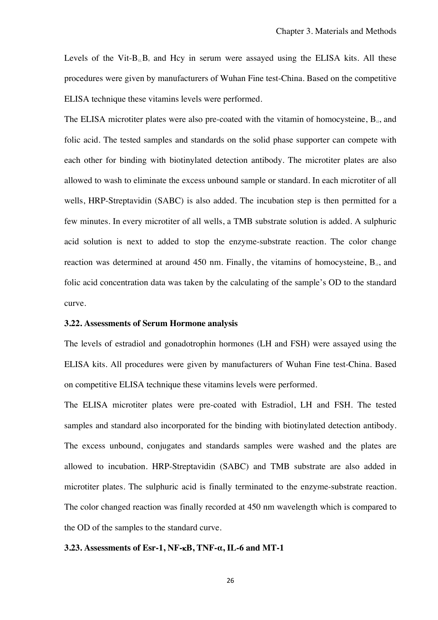Levels of the Vit- $B_{12}B_9$  and Hcy in serum were assayed using the ELISA kits. All these procedures were given by manufacturers of Wuhan Fine test-China. Based on the competitive ELISA technique these vitamins levels were performed.

The ELISA microtiter plates were also pre-coated with the vitamin of homocysteine,  $B_{12}$ , and folic acid. The tested samples and standards on the solid phase supporter can compete with each other for binding with biotinylated detection antibody. The microtiter plates are also allowed to wash to eliminate the excess unbound sample or standard. In each microtiter of all wells, HRP-Streptavidin (SABC) is also added. The incubation step is then permitted for a few minutes. In every microtiter of all wells, a TMB substrate solution is added. A sulphuric acid solution is next to added to stop the enzyme-substrate reaction. The color change reaction was determined at around 450 nm. Finally, the vitamins of homocysteine,  $B_{\nu}$ , and folic acid concentration data was taken by the calculating of the sample's OD to the standard curve.

#### **3.22. Assessments of Serum Hormone analysis**

The levels of estradiol and gonadotrophin hormones (LH and FSH) were assayed using the ELISA kits. All procedures were given by manufacturers of Wuhan Fine test-China. Based on competitive ELISA technique these vitamins levels were performed.

The ELISA microtiter plates were pre-coated with Estradiol, LH and FSH. The tested samples and standard also incorporated for the binding with biotinylated detection antibody. The excess unbound, conjugates and standards samples were washed and the plates are allowed to incubation. HRP-Streptavidin (SABC) and TMB substrate are also added in microtiter plates. The sulphuric acid is finally terminated to the enzyme-substrate reaction. The color changed reaction was finally recorded at 450 nm wavelength which is compared to the OD of the samples to the standard curve.

#### **3.23. Assessments of Esr-1, NF-**k**B, TNF-α, IL-6 and MT-1**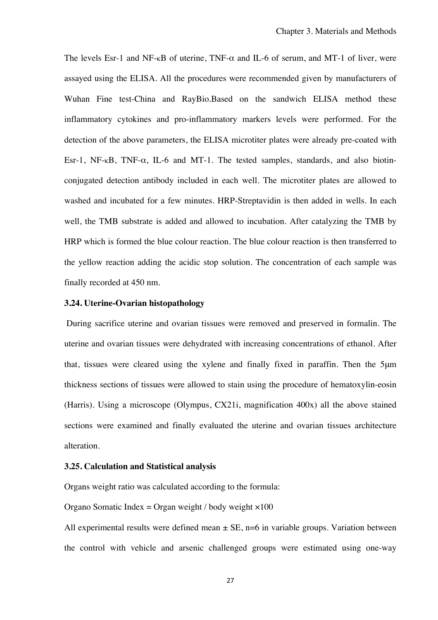The levels Esr-1 and NF- $\kappa$ B of uterine, TNF- $\alpha$  and IL-6 of serum, and MT-1 of liver, were assayed using the ELISA. All the procedures were recommended given by manufacturers of Wuhan Fine test-China and RayBio.Based on the sandwich ELISA method these inflammatory cytokines and pro-inflammatory markers levels were performed. For the detection of the above parameters, the ELISA microtiter plates were already pre-coated with Esr-1, NF- $\kappa$ B, TNF- $\alpha$ , IL-6 and MT-1. The tested samples, standards, and also biotinconjugated detection antibody included in each well. The microtiter plates are allowed to washed and incubated for a few minutes. HRP-Streptavidin is then added in wells. In each well, the TMB substrate is added and allowed to incubation. After catalyzing the TMB by HRP which is formed the blue colour reaction. The blue colour reaction is then transferred to the yellow reaction adding the acidic stop solution. The concentration of each sample was finally recorded at 450 nm.

# **3.24. Uterine-Ovarian histopathology**

During sacrifice uterine and ovarian tissues were removed and preserved in formalin. The uterine and ovarian tissues were dehydrated with increasing concentrations of ethanol. After that, tissues were cleared using the xylene and finally fixed in paraffin. Then the 5μm thickness sections of tissues were allowed to stain using the procedure of hematoxylin-eosin (Harris). Using a microscope (Olympus, CX21i, magnification 400x) all the above stained sections were examined and finally evaluated the uterine and ovarian tissues architecture alteration.

### **3.25. Calculation and Statistical analysis**

Organs weight ratio was calculated according to the formula:

Organo Somatic Index = Organ weight / body weight  $\times 100$ 

All experimental results were defined mean  $\pm$  SE, n=6 in variable groups. Variation between the control with vehicle and arsenic challenged groups were estimated using one-way